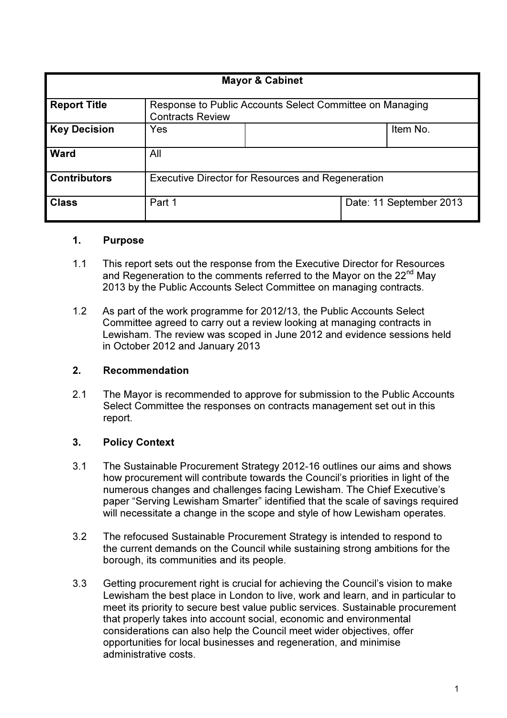| <b>Mayor &amp; Cabinet</b> |                                                                                     |  |  |                         |  |  |  |  |
|----------------------------|-------------------------------------------------------------------------------------|--|--|-------------------------|--|--|--|--|
| <b>Report Title</b>        | Response to Public Accounts Select Committee on Managing<br><b>Contracts Review</b> |  |  |                         |  |  |  |  |
| <b>Key Decision</b>        | <b>Yes</b>                                                                          |  |  | Item No.                |  |  |  |  |
| <b>Ward</b>                | All                                                                                 |  |  |                         |  |  |  |  |
| <b>Contributors</b>        | <b>Executive Director for Resources and Regeneration</b>                            |  |  |                         |  |  |  |  |
| <b>Class</b>               | Part 1                                                                              |  |  | Date: 11 September 2013 |  |  |  |  |

#### 1. Purpose

- 1.1 This report sets out the response from the Executive Director for Resources and Regeneration to the comments referred to the Mayor on the 22<sup>nd</sup> May 2013 by the Public Accounts Select Committee on managing contracts.
- 1.2 As part of the work programme for 2012/13, the Public Accounts Select Committee agreed to carry out a review looking at managing contracts in Lewisham. The review was scoped in June 2012 and evidence sessions held in October 2012 and January 2013

#### 2. Recommendation

2.1 The Mayor is recommended to approve for submission to the Public Accounts Select Committee the responses on contracts management set out in this report.

#### 3. Policy Context

- 3.1 The Sustainable Procurement Strategy 2012-16 outlines our aims and shows how procurement will contribute towards the Council's priorities in light of the numerous changes and challenges facing Lewisham. The Chief Executive's paper "Serving Lewisham Smarter" identified that the scale of savings required will necessitate a change in the scope and style of how Lewisham operates.
- 3.2 The refocused Sustainable Procurement Strategy is intended to respond to the current demands on the Council while sustaining strong ambitions for the borough, its communities and its people.
- 3.3 Getting procurement right is crucial for achieving the Council's vision to make Lewisham the best place in London to live, work and learn, and in particular to meet its priority to secure best value public services. Sustainable procurement that properly takes into account social, economic and environmental considerations can also help the Council meet wider objectives, offer opportunities for local businesses and regeneration, and minimise administrative costs.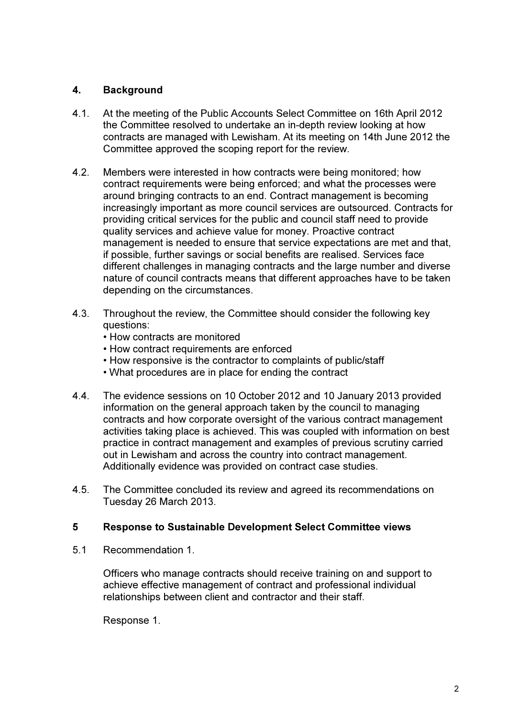# 4. Background

- 4.1. At the meeting of the Public Accounts Select Committee on 16th April 2012 the Committee resolved to undertake an in-depth review looking at how contracts are managed with Lewisham. At its meeting on 14th June 2012 the Committee approved the scoping report for the review.
- 4.2. Members were interested in how contracts were being monitored; how contract requirements were being enforced; and what the processes were around bringing contracts to an end. Contract management is becoming increasingly important as more council services are outsourced. Contracts for providing critical services for the public and council staff need to provide quality services and achieve value for money. Proactive contract management is needed to ensure that service expectations are met and that, if possible, further savings or social benefits are realised. Services face different challenges in managing contracts and the large number and diverse nature of council contracts means that different approaches have to be taken depending on the circumstances.
- 4.3. Throughout the review, the Committee should consider the following key questions:
	- How contracts are monitored
	- How contract requirements are enforced
	- How responsive is the contractor to complaints of public/staff
	- What procedures are in place for ending the contract
- 4.4. The evidence sessions on 10 October 2012 and 10 January 2013 provided information on the general approach taken by the council to managing contracts and how corporate oversight of the various contract management activities taking place is achieved. This was coupled with information on best practice in contract management and examples of previous scrutiny carried out in Lewisham and across the country into contract management. Additionally evidence was provided on contract case studies.
- 4.5. The Committee concluded its review and agreed its recommendations on Tuesday 26 March 2013.

## 5 Response to Sustainable Development Select Committee views

5.1 Recommendation 1.

Officers who manage contracts should receive training on and support to achieve effective management of contract and professional individual relationships between client and contractor and their staff.

Response 1.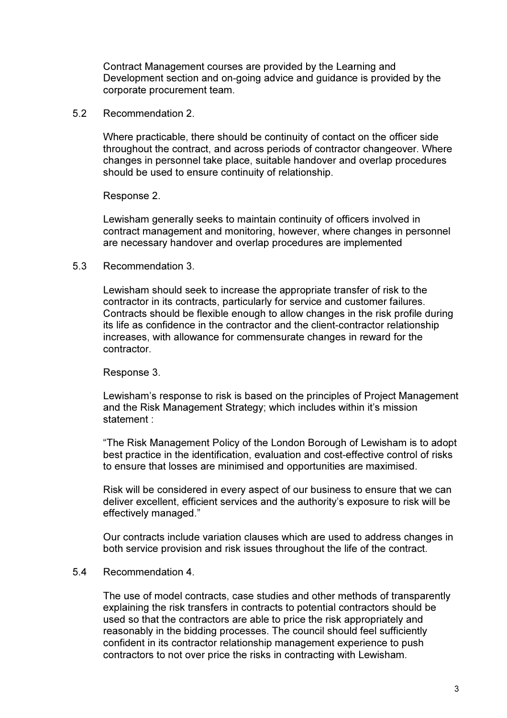Contract Management courses are provided by the Learning and Development section and on-going advice and guidance is provided by the corporate procurement team.

5.2 Recommendation 2.

Where practicable, there should be continuity of contact on the officer side throughout the contract, and across periods of contractor changeover. Where changes in personnel take place, suitable handover and overlap procedures should be used to ensure continuity of relationship.

Response 2.

Lewisham generally seeks to maintain continuity of officers involved in contract management and monitoring, however, where changes in personnel are necessary handover and overlap procedures are implemented

#### 5.3 Recommendation 3.

Lewisham should seek to increase the appropriate transfer of risk to the contractor in its contracts, particularly for service and customer failures. Contracts should be flexible enough to allow changes in the risk profile during its life as confidence in the contractor and the client-contractor relationship increases, with allowance for commensurate changes in reward for the contractor.

#### Response 3.

Lewisham's response to risk is based on the principles of Project Management and the Risk Management Strategy; which includes within it's mission statement :

"The Risk Management Policy of the London Borough of Lewisham is to adopt best practice in the identification, evaluation and cost-effective control of risks to ensure that losses are minimised and opportunities are maximised.

Risk will be considered in every aspect of our business to ensure that we can deliver excellent, efficient services and the authority's exposure to risk will be effectively managed."

Our contracts include variation clauses which are used to address changes in both service provision and risk issues throughout the life of the contract.

#### 5.4 Recommendation 4.

The use of model contracts, case studies and other methods of transparently explaining the risk transfers in contracts to potential contractors should be used so that the contractors are able to price the risk appropriately and reasonably in the bidding processes. The council should feel sufficiently confident in its contractor relationship management experience to push contractors to not over price the risks in contracting with Lewisham.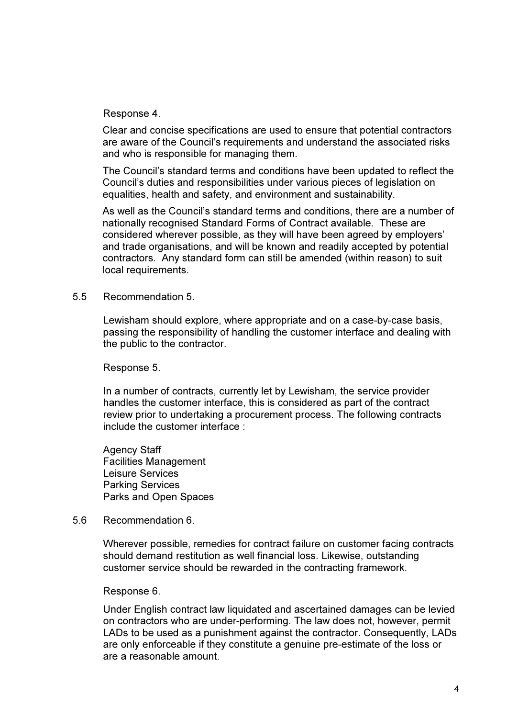Response 4.

Clear and concise specifications are used to ensure that potential contractors are aware of the Council's requirements and understand the associated risks and who is responsible for managing them.

The Council's standard terms and conditions have been updated to reflect the Council's duties and responsibilities under various pieces of legislation on equalities, health and safety, and environment and sustainability.

As well as the Council's standard terms and conditions, there are a number of nationally recognised Standard Forms of Contract available. These are considered wherever possible, as they will have been agreed by employers' and trade organisations, and will be known and readily accepted by potential contractors. Any standard form can still be amended (within reason) to suit local requirements.

5.5 Recommendation 5.

Lewisham should explore, where appropriate and on a case-by-case basis, passing the responsibility of handling the customer interface and dealing with the public to the contractor.

Response 5.

In a number of contracts, currently let by Lewisham, the service provider handles the customer interface, this is considered as part of the contract review prior to undertaking a procurement process. The following contracts include the customer interface :

Agency Staff Facilities Management Leisure Services Parking Services Parks and Open Spaces

5.6 Recommendation 6.

Wherever possible, remedies for contract failure on customer facing contracts should demand restitution as well financial loss. Likewise, outstanding customer service should be rewarded in the contracting framework.

Response 6.

Under English contract law liquidated and ascertained damages can be levied on contractors who are under-performing. The law does not, however, permit LADs to be used as a punishment against the contractor. Consequently, LADs are only enforceable if they constitute a genuine pre-estimate of the loss or are a reasonable amount.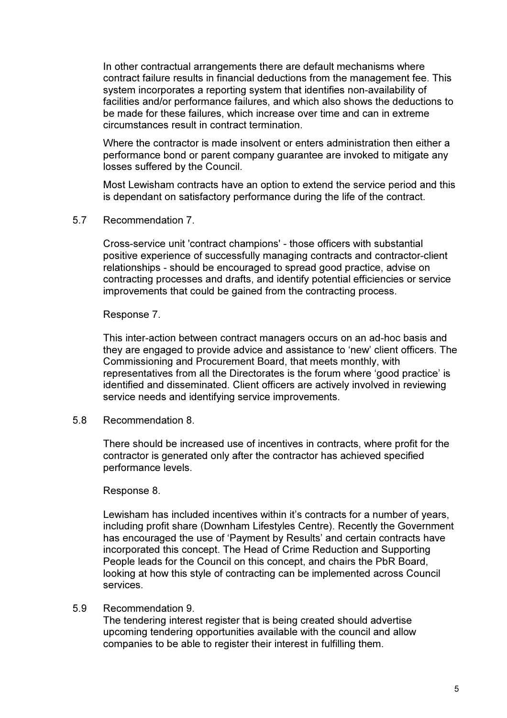In other contractual arrangements there are default mechanisms where contract failure results in financial deductions from the management fee. This system incorporates a reporting system that identifies non-availability of facilities and/or performance failures, and which also shows the deductions to be made for these failures, which increase over time and can in extreme circumstances result in contract termination.

Where the contractor is made insolvent or enters administration then either a performance bond or parent company guarantee are invoked to mitigate any losses suffered by the Council.

Most Lewisham contracts have an option to extend the service period and this is dependant on satisfactory performance during the life of the contract.

5.7 Recommendation 7.

Cross-service unit 'contract champions' - those officers with substantial positive experience of successfully managing contracts and contractor-client relationships - should be encouraged to spread good practice, advise on contracting processes and drafts, and identify potential efficiencies or service improvements that could be gained from the contracting process.

#### Response 7.

This inter-action between contract managers occurs on an ad-hoc basis and they are engaged to provide advice and assistance to 'new' client officers. The Commissioning and Procurement Board, that meets monthly, with representatives from all the Directorates is the forum where 'good practice' is identified and disseminated. Client officers are actively involved in reviewing service needs and identifying service improvements.

5.8 Recommendation 8.

There should be increased use of incentives in contracts, where profit for the contractor is generated only after the contractor has achieved specified performance levels.

Response 8.

Lewisham has included incentives within it's contracts for a number of years, including profit share (Downham Lifestyles Centre). Recently the Government has encouraged the use of 'Payment by Results' and certain contracts have incorporated this concept. The Head of Crime Reduction and Supporting People leads for the Council on this concept, and chairs the PbR Board, looking at how this style of contracting can be implemented across Council services.

#### 5.9 Recommendation 9.

The tendering interest register that is being created should advertise upcoming tendering opportunities available with the council and allow companies to be able to register their interest in fulfilling them.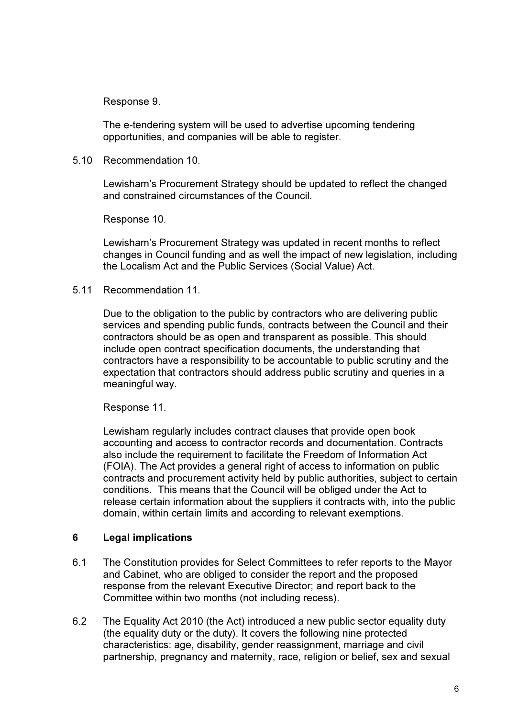Response 9.

The e-tendering system will be used to advertise upcoming tendering opportunities, and companies will be able to register.

5.10 Recommendation 10.

Lewisham's Procurement Strategy should be updated to reflect the changed and constrained circumstances of the Council.

Response 10.

Lewisham's Procurement Strategy was updated in recent months to reflect changes in Council funding and as well the impact of new legislation, including the Localism Act and the Public Services (Social Value) Act.

5.11 Recommendation 11.

Due to the obligation to the public by contractors who are delivering public services and spending public funds, contracts between the Council and their contractors should be as open and transparent as possible. This should include open contract specification documents, the understanding that contractors have a responsibility to be accountable to public scrutiny and the expectation that contractors should address public scrutiny and queries in a meaningful way.

Response 11.

Lewisham regularly includes contract clauses that provide open book accounting and access to contractor records and documentation. Contracts also include the requirement to facilitate the Freedom of Information Act (FOIA). The Act provides a general right of access to information on public contracts and procurement activity held by public authorities, subject to certain conditions. This means that the Council will be obliged under the Act to release certain information about the suppliers it contracts with, into the public domain, within certain limits and according to relevant exemptions.

## 6 Legal implications

- 6.1 The Constitution provides for Select Committees to refer reports to the Mayor and Cabinet, who are obliged to consider the report and the proposed response from the relevant Executive Director; and report back to the Committee within two months (not including recess).
- 6.2 The Equality Act 2010 (the Act) introduced a new public sector equality duty (the equality duty or the duty). It covers the following nine protected characteristics: age, disability, gender reassignment, marriage and civil partnership, pregnancy and maternity, race, religion or belief, sex and sexual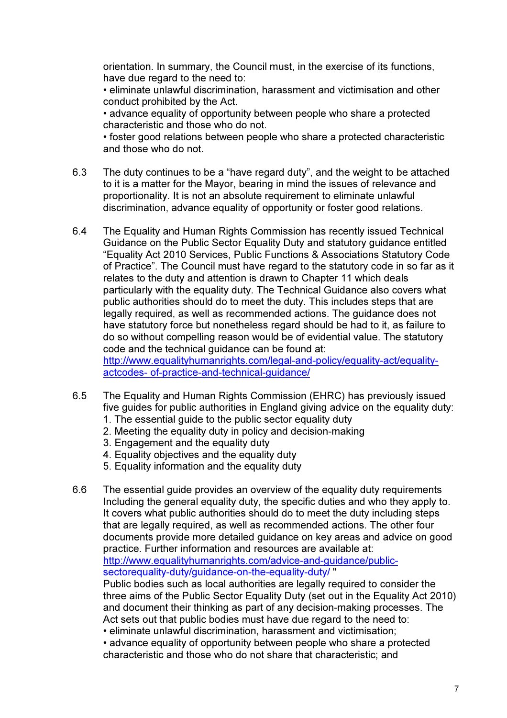orientation. In summary, the Council must, in the exercise of its functions, have due regard to the need to:

• eliminate unlawful discrimination, harassment and victimisation and other conduct prohibited by the Act.

• advance equality of opportunity between people who share a protected characteristic and those who do not.

• foster good relations between people who share a protected characteristic and those who do not.

- 6.3 The duty continues to be a "have regard duty", and the weight to be attached to it is a matter for the Mayor, bearing in mind the issues of relevance and proportionality. It is not an absolute requirement to eliminate unlawful discrimination, advance equality of opportunity or foster good relations.
- 6.4 The Equality and Human Rights Commission has recently issued Technical Guidance on the Public Sector Equality Duty and statutory guidance entitled "Equality Act 2010 Services, Public Functions & Associations Statutory Code of Practice". The Council must have regard to the statutory code in so far as it relates to the duty and attention is drawn to Chapter 11 which deals particularly with the equality duty. The Technical Guidance also covers what public authorities should do to meet the duty. This includes steps that are legally required, as well as recommended actions. The guidance does not have statutory force but nonetheless regard should be had to it, as failure to do so without compelling reason would be of evidential value. The statutory code and the technical guidance can be found at: http://www.equalityhumanrights.com/legal-and-policy/equality-act/equalityactcodes- of-practice-and-technical-guidance/
- 6.5 The Equality and Human Rights Commission (EHRC) has previously issued five guides for public authorities in England giving advice on the equality duty:
	- 1. The essential guide to the public sector equality duty
	- 2. Meeting the equality duty in policy and decision-making
	- 3. Engagement and the equality duty
	- 4. Equality objectives and the equality duty
	- 5. Equality information and the equality duty

6.6 The essential guide provides an overview of the equality duty requirements Including the general equality duty, the specific duties and who they apply to. It covers what public authorities should do to meet the duty including steps that are legally required, as well as recommended actions. The other four documents provide more detailed guidance on key areas and advice on good practice. Further information and resources are available at: http://www.equalityhumanrights.com/advice-and-guidance/publicsectorequality-duty/guidance-on-the-equality-duty/ " Public bodies such as local authorities are legally required to consider the three aims of the Public Sector Equality Duty (set out in the Equality Act 2010) and document their thinking as part of any decision-making processes. The Act sets out that public bodies must have due regard to the need to: • eliminate unlawful discrimination, harassment and victimisation;

• advance equality of opportunity between people who share a protected characteristic and those who do not share that characteristic; and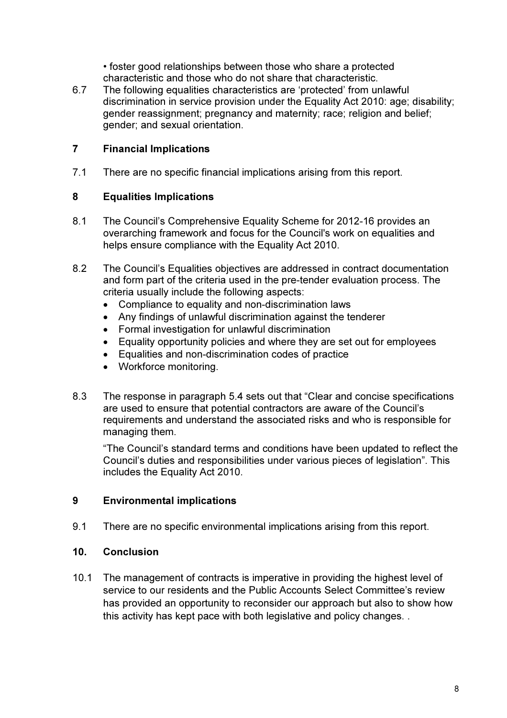• foster good relationships between those who share a protected characteristic and those who do not share that characteristic.

6.7 The following equalities characteristics are 'protected' from unlawful discrimination in service provision under the Equality Act 2010: age; disability; gender reassignment; pregnancy and maternity; race; religion and belief; gender; and sexual orientation.

# 7 Financial Implications

7.1 There are no specific financial implications arising from this report.

## 8 Equalities Implications

- 8.1 The Council's Comprehensive Equality Scheme for 2012-16 provides an overarching framework and focus for the Council's work on equalities and helps ensure compliance with the Equality Act 2010.
- 8.2 The Council's Equalities objectives are addressed in contract documentation and form part of the criteria used in the pre-tender evaluation process. The criteria usually include the following aspects:
	- Compliance to equality and non-discrimination laws
	- Any findings of unlawful discrimination against the tenderer
	- Formal investigation for unlawful discrimination
	- Equality opportunity policies and where they are set out for employees
	- Equalities and non-discrimination codes of practice
	- Workforce monitoring.
- 8.3 The response in paragraph 5.4 sets out that "Clear and concise specifications are used to ensure that potential contractors are aware of the Council's requirements and understand the associated risks and who is responsible for managing them.

"The Council's standard terms and conditions have been updated to reflect the Council's duties and responsibilities under various pieces of legislation". This includes the Equality Act 2010.

## 9 Environmental implications

9.1 There are no specific environmental implications arising from this report.

## 10. Conclusion

10.1 The management of contracts is imperative in providing the highest level of service to our residents and the Public Accounts Select Committee's review has provided an opportunity to reconsider our approach but also to show how this activity has kept pace with both legislative and policy changes. .